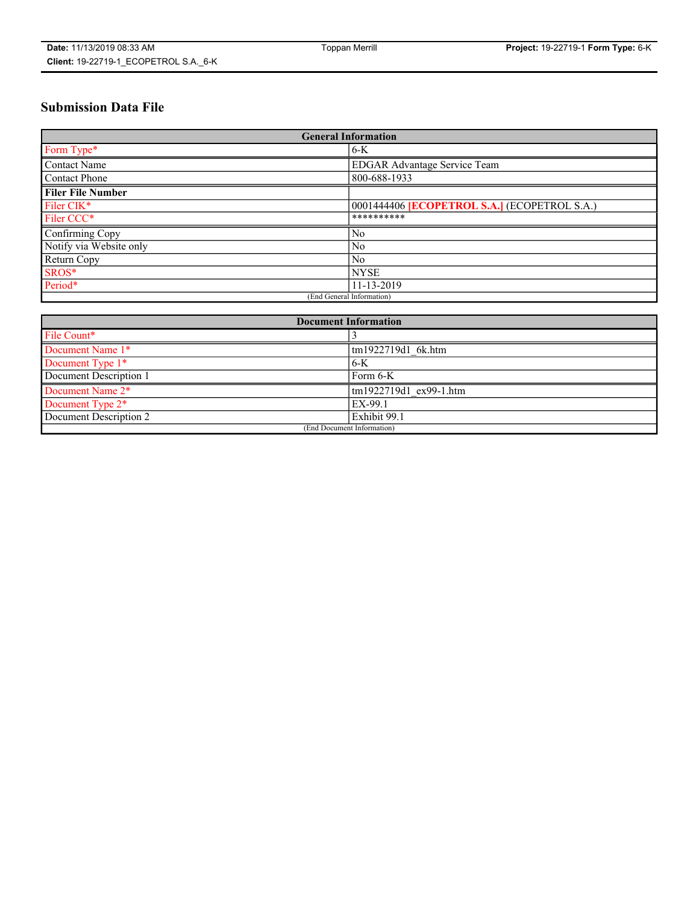# **Submission Data File**

| <b>General Information</b> |                                                     |
|----------------------------|-----------------------------------------------------|
| Form Type*                 | $6-K$                                               |
| Contact Name               | <b>EDGAR Advantage Service Team</b>                 |
| Contact Phone              | 800-688-1933                                        |
| <b>Filer File Number</b>   |                                                     |
| Filer CIK*                 | 0001444406 <b>[ECOPETROL S.A.]</b> (ECOPETROL S.A.) |
| Filer CCC*                 | **********                                          |
| Confirming Copy            | N <sub>0</sub>                                      |
| Notify via Website only    | N <sub>0</sub>                                      |
| Return Copy                | N <sub>0</sub>                                      |
| SROS*                      | <b>NYSE</b>                                         |
| Period*                    | 11-13-2019                                          |
| (End General Information)  |                                                     |

| <b>Document Information</b> |                        |
|-----------------------------|------------------------|
| File Count*                 |                        |
| Document Name 1*            | tm1922719d1 6k.htm     |
| Document Type 1*            | $6-K$                  |
| Document Description 1      | Form 6-K               |
| Document Name 2*            | tm1922719d1 ex99-1.htm |
| Document Type 2*            | EX-99.1                |
| Document Description 2      | Exhibit 99.1           |
| (End Document Information)  |                        |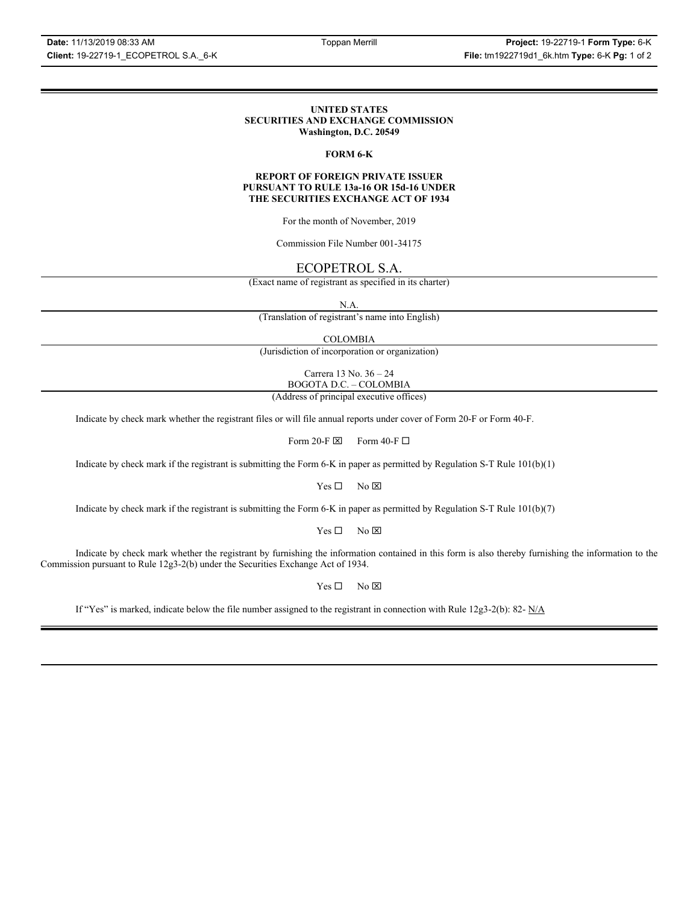## **UNITED STATES SECURITIES AND EXCHANGE COMMISSION Washington, D.C. 20549**

# **FORM 6-K**

## **REPORT OF FOREIGN PRIVATE ISSUER PURSUANT TO RULE 13a-16 OR 15d-16 UNDER THE SECURITIES EXCHANGE ACT OF 1934**

For the month of November, 2019

Commission File Number 001-34175

# ECOPETROL S.A.

(Exact name of registrant as specified in its charter)

N.A.

(Translation of registrant's name into English)

COLOMBIA

(Jurisdiction of incorporation or organization)

Carrera 13 No. 36 – 24 BOGOTA D.C. – COLOMBIA

(Address of principal executive offices)

Indicate by check mark whether the registrant files or will file annual reports under cover of Form 20-F or Form 40-F.

Form 20-F  $\boxtimes$  Form 40-F  $\Box$ 

Indicate by check mark if the registrant is submitting the Form 6-K in paper as permitted by Regulation S-T Rule 101(b)(1)

 $Yes \Box$  No  $\boxtimes$ 

Indicate by check mark if the registrant is submitting the Form 6-K in paper as permitted by Regulation S-T Rule 101(b)(7)

 $Yes \Box$  No  $\boxtimes$ 

Indicate by check mark whether the registrant by furnishing the information contained in this form is also thereby furnishing the information to the Commission pursuant to Rule 12g3-2(b) under the Securities Exchange Act of 1934.

 $Yes \Box$  No  $\boxtimes$ 

If "Yes" is marked, indicate below the file number assigned to the registrant in connection with Rule 12g3-2(b): 82- N/A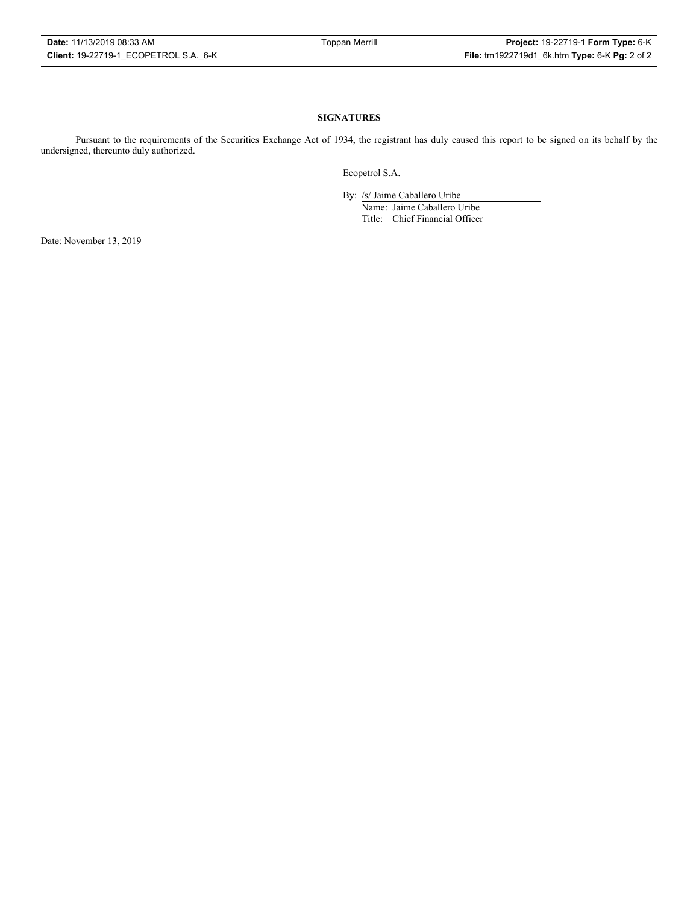# **SIGNATURES**

Pursuant to the requirements of the Securities Exchange Act of 1934, the registrant has duly caused this report to be signed on its behalf by the undersigned, thereunto duly authorized.

Ecopetrol S.A.

By: /s/ Jaime Caballero Uribe

Name: Jaime Caballero Uribe Title: Chief Financial Officer

Date: November 13, 2019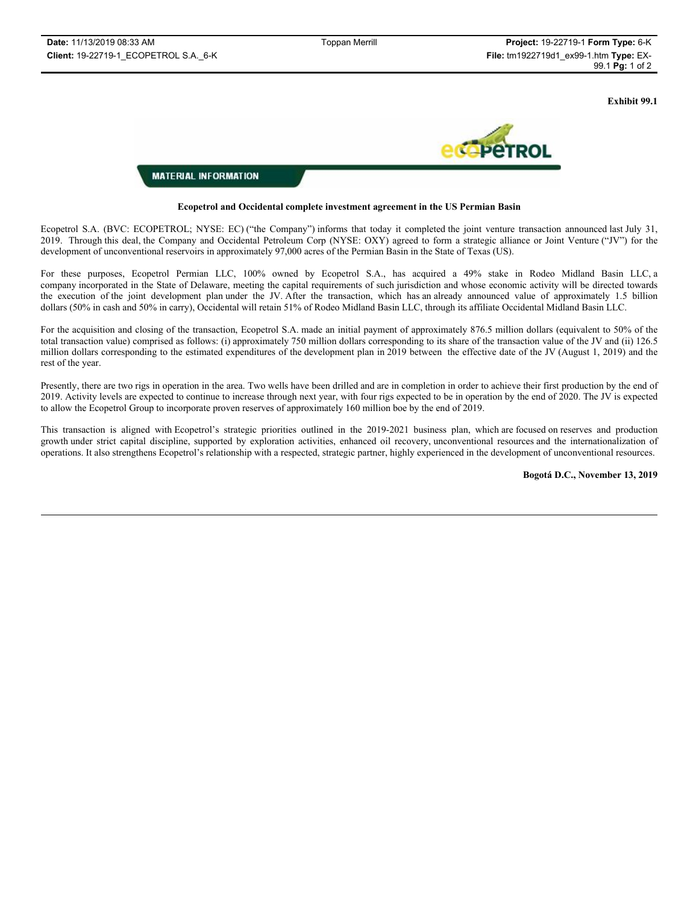**Exhibit 99.1**



# **MATERIAL INFORMATION**

### **Ecopetrol and Occidental complete investment agreement in the US Permian Basin**

Ecopetrol S.A. (BVC: ECOPETROL; NYSE: EC) ("the Company") informs that today it completed the joint venture transaction announced last July 31, 2019. Through this deal, the Company and Occidental Petroleum Corp (NYSE: OXY) agreed to form a strategic alliance or Joint Venture ("JV") for the development of unconventional reservoirs in approximately 97,000 acres of the Permian Basin in the State of Texas (US).

For these purposes, Ecopetrol Permian LLC, 100% owned by Ecopetrol S.A., has acquired a 49% stake in Rodeo Midland Basin LLC, a company incorporated in the State of Delaware, meeting the capital requirements of such jurisdiction and whose economic activity will be directed towards the execution of the joint development plan under the JV. After the transaction, which has an already announced value of approximately 1.5 billion dollars (50% in cash and 50% in carry), Occidental will retain 51% of Rodeo Midland Basin LLC, through its affiliate Occidental Midland Basin LLC.

For the acquisition and closing of the transaction, Ecopetrol S.A. made an initial payment of approximately 876.5 million dollars (equivalent to 50% of the total transaction value) comprised as follows: (i) approximately 750 million dollars corresponding to its share of the transaction value of the JV and (ii) 126.5 million dollars corresponding to the estimated expenditures of the development plan in 2019 between the effective date of the JV (August 1, 2019) and the rest of the year.

Presently, there are two rigs in operation in the area. Two wells have been drilled and are in completion in order to achieve their first production by the end of 2019. Activity levels are expected to continue to increase through next year, with four rigs expected to be in operation by the end of 2020. The JV is expected to allow the Ecopetrol Group to incorporate proven reserves of approximately 160 million boe by the end of 2019.

This transaction is aligned with Ecopetrol's strategic priorities outlined in the 2019-2021 business plan, which are focused on reserves and production growth under strict capital discipline, supported by exploration activities, enhanced oil recovery, unconventional resources and the internationalization of operations. It also strengthens Ecopetrol's relationship with a respected, strategic partner, highly experienced in the development of unconventional resources.

# **Bogotá D.C., November 13, 2019**